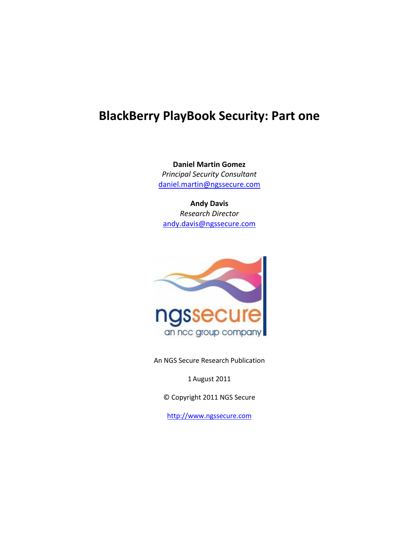# **BlackBerry PlayBook Security: Part one**

**Daniel Martin Gomez** *Principal Security Consultant* [daniel.martin@ngssecure.com](mailto:daniel.martin@ngssecure.com)

**Andy Davis** *Research Director* [andy.davis@ngssecure.com](mailto:andy.davis@ngssecure.com)



An NGS Secure Research Publication

1 August 2011

© Copyright 2011 NGS Secure

[http://www.ngssecure.com](http://www.ngssecure.com/)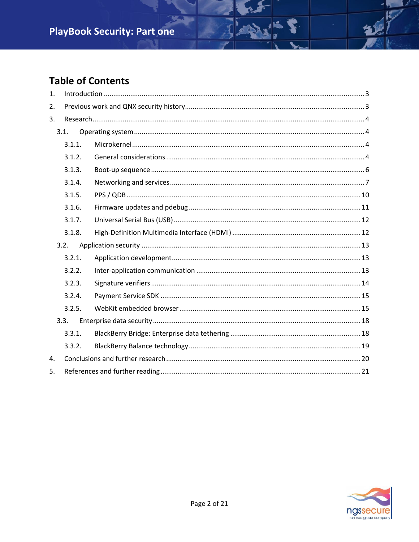# **Table of Contents**

| 1. |        |  |
|----|--------|--|
| 2. |        |  |
| 3. |        |  |
|    | 3.1.   |  |
|    | 3.1.1. |  |
|    | 3.1.2. |  |
|    | 3.1.3. |  |
|    | 3.1.4. |  |
|    | 3.1.5. |  |
|    | 3.1.6. |  |
|    | 3.1.7. |  |
|    | 3.1.8. |  |
|    | 3.2.   |  |
|    | 3.2.1. |  |
|    | 3.2.2. |  |
|    | 3.2.3. |  |
|    | 3.2.4. |  |
|    | 3.2.5. |  |
|    | 3.3.   |  |
|    | 3.3.1. |  |
|    | 3.3.2. |  |
| 4. |        |  |
| 5. |        |  |

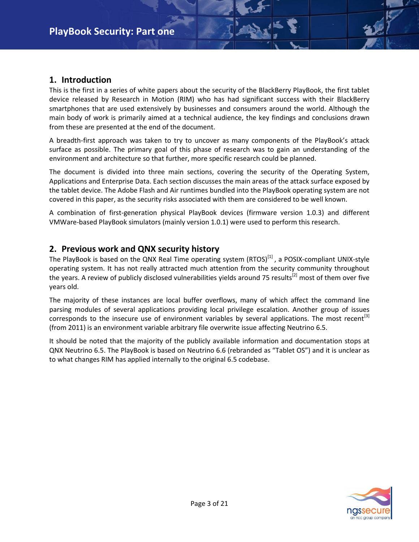#### <span id="page-2-0"></span>**1. Introduction**

This is the first in a series of white papers about the security of the BlackBerry PlayBook, the first tablet device released by Research in Motion (RIM) who has had significant success with their BlackBerry smartphones that are used extensively by businesses and consumers around the world. Although the main body of work is primarily aimed at a technical audience, the key findings and conclusions drawn from these are presented at the end of the document.

A breadth-first approach was taken to try to uncover as many components of the PlayBook's attack surface as possible. The primary goal of this phase of research was to gain an understanding of the environment and architecture so that further, more specific research could be planned.

The document is divided into three main sections, covering the security of the Operating System, Applications and Enterprise Data. Each section discusses the main areas of the attack surface exposed by the tablet device. The Adobe Flash and Air runtimes bundled into the PlayBook operating system are not covered in this paper, as the security risks associated with them are considered to be well known.

A combination of first-generation physical PlayBook devices (firmware version 1.0.3) and different VMWare-based PlayBook simulators (mainly version 1.0.1) were used to perform this research.

#### <span id="page-2-1"></span>**2. Previous work and QNX security history**

The PlayBook is based on the QNX Real Time operating system  $(RTOS)^{[1]}$ , a POSIX-compliant UNIX-style operating system. It has not really attracted much attention from the security community throughout the years. A review of publicly disclosed vulnerabilities yields around 75 results<sup>[2]</sup> most of them over five years old.

The majority of these instances are local buffer overflows, many of which affect the command line parsing modules of several applications providing local privilege escalation. Another group of issues corresponds to the insecure use of environment variables by several applications. The most recent<sup>[3]</sup> (from 2011) is an environment variable arbitrary file overwrite issue affecting Neutrino 6.5.

It should be noted that the majority of the publicly available information and documentation stops at QNX Neutrino 6.5. The PlayBook is based on Neutrino 6.6 (rebranded as "Tablet OS") and it is unclear as to what changes RIM has applied internally to the original 6.5 codebase.

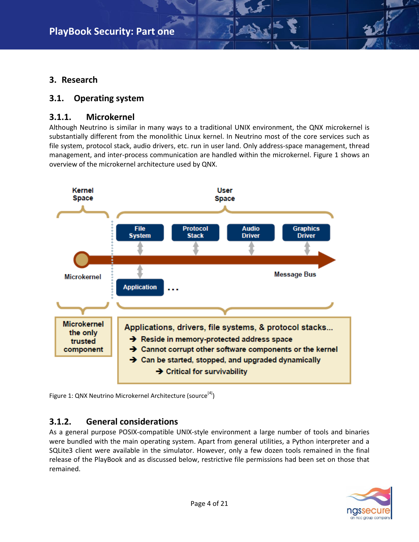### <span id="page-3-0"></span>**3. Research**

#### <span id="page-3-1"></span>**3.1. Operating system**

#### <span id="page-3-2"></span>**3.1.1. Microkernel**

Although Neutrino is similar in many ways to a traditional UNIX environment, the QNX microkernel is substantially different from the monolithic Linux kernel. In Neutrino most of the core services such as file system, protocol stack, audio drivers, etc. run in user land. Only address-space management, thread management, and inter-process communication are handled within the microkernel. Figure 1 shows an overview of the microkernel architecture used by QNX.



Figure 1: QNX Neutrino Microkernel Architecture (source<sup>[4]</sup>)

### <span id="page-3-3"></span>**3.1.2. General considerations**

As a general purpose POSIX-compatible UNIX-style environment a large number of tools and binaries were bundled with the main operating system. Apart from general utilities, a Python interpreter and a SQLite3 client were available in the simulator. However, only a few dozen tools remained in the final release of the PlayBook and as discussed below, restrictive file permissions had been set on those that remained.

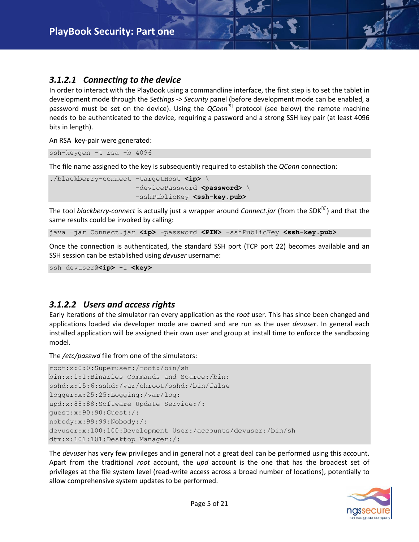#### *3.1.2.1 Connecting to the device*

In order to interact with the PlayBook using a commandline interface, the first step is to set the tablet in development mode through the *Settings -> Security* panel (before development mode can be enabled, a password must be set on the device). Using the *QConn*<sup>[5]</sup> protocol (see below) the remote machine needs to be authenticated to the device, requiring a password and a strong SSH key pair (at least 4096 bits in length).

An RSA key-pair were generated:

ssh-keygen -t rsa -b 4096

The file name assigned to the key is subsequently required to establish the *QConn* connection:

```
./blackberry-connect -targetHost <ip> \
                     -devicePassword <password> \
                      -sshPublicKey <ssh-key.pub>
```
The tool *blackberry-connect* is actually just a wrapper around *Connect.jar* (from the SDK[6] ) and that the same results could be invoked by calling:

java -jar Connect.jar <ip> -password <PIN> -sshPublicKey <ssh-key.pub>

Once the connection is authenticated, the standard SSH port (TCP port 22) becomes available and an SSH session can be established using *devuser* username:

```
ssh devuser@<ip> -i <key>
```
#### *3.1.2.2 Users and access rights*

Early iterations of the simulator ran every application as the *root* user. This has since been changed and applications loaded via developer mode are owned and are run as the user *devuser*. In general each installed application will be assigned their own user and group at install time to enforce the sandboxing model.

The */etc/passwd* file from one of the simulators:

```
root:x:0:0:Superuser:/root:/bin/sh
bin:x:1:1:Binaries Commands and Source:/bin:
sshd:x:15:6:sshd:/var/chroot/sshd:/bin/false
logger:x:25:25:Logging:/var/log:
upd:x:88:88:Software Update Service:/:
guest:x:90:90:Guest:/:
nobody:x:99:99:Nobody:/:
devuser:x:100:100:Development User:/accounts/devuser:/bin/sh
dtm:x:101:101:Desktop Manager:/:
```
The *devuser* has very few privileges and in general not a great deal can be performed using this account. Apart from the traditional *root* account, the *upd* account is the one that has the broadest set of privileges at the file system level (read-write access across a broad number of locations), potentially to allow comprehensive system updates to be performed.

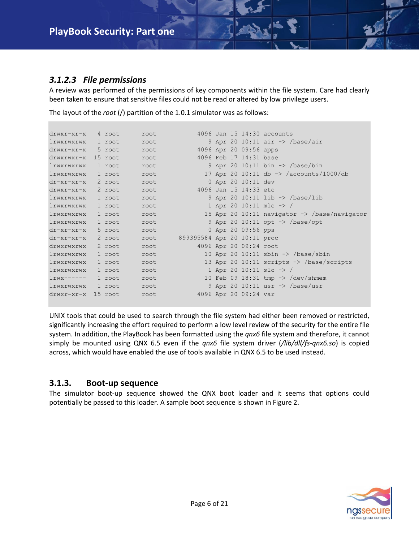#### *3.1.2.3 File permissions*

A review was performed of the permissions of key components within the file system. Care had clearly been taken to ensure that sensitive files could not be read or altered by low privilege users.

| drwxr-xr-x 4 root           |         | root |                             |  |                        | 4096 Jan 15 14:30 accounts                              |
|-----------------------------|---------|------|-----------------------------|--|------------------------|---------------------------------------------------------|
| lrwxrwxrwx 1 root           |         | root |                             |  |                        | 9 Apr 20 10:11 air $\rightarrow$ /base/air              |
| $drwxr-xr-x$                | 5 root  | root |                             |  | 4096 Apr 20 09:56 apps |                                                         |
| drwxrwxr-x 15 root          |         | root |                             |  | 4096 Feb 17 14:31 base |                                                         |
| lrwxrwxrwx                  | 1 root  | root |                             |  |                        | 9 Apr 20 10:11 bin $\rightarrow$ /base/bin              |
| lrwxrwxrwx                  | 1 root  | root |                             |  |                        | 17 Apr 20 10:11 db -> /accounts/1000/db                 |
| $dr-xr-xr-x$ 2 root         |         | root |                             |  | 0 Apr 20 10:11 dev     |                                                         |
| drwxr-xr-x 2 root           |         | root |                             |  | 4096 Jan 15 14:33 etc  |                                                         |
| lrwxrwxrwx                  | 1 root  | root |                             |  |                        | 9 Apr 20 10:11 lib $\rightarrow$ /base/lib              |
| lrwxrwxrwx                  | 1 root  | root |                             |  |                        | 1 Apr 20 10:11 mlc -> /                                 |
| lrwxrwxrwx                  | 1 root  | root |                             |  |                        | 15 Apr 20 10:11 navigator $\rightarrow$ /base/navigator |
| lrwxrwxrwx                  | 1 root  | root |                             |  |                        | 9 Apr 20 10:11 opt -> /base/opt                         |
| $dr - xr - xr - x = 5$ root |         | root |                             |  | 0 Apr 20 09:56 pps     |                                                         |
| $dr-xr-xr-x$ 2 root         |         | root | 899395584 Apr 20 10:11 proc |  |                        |                                                         |
| drwxrwxrwx                  | 2 root  | root |                             |  | 4096 Apr 20 09:24 root |                                                         |
| lrwxrwxrwx                  | 1 root  | root |                             |  |                        | 10 Apr 20 10:11 sbin $\rightarrow$ /base/sbin           |
| lrwxrwxrwx                  | l root  | root |                             |  |                        | 13 Apr 20 10:11 scripts $\rightarrow$ /base/scripts     |
| lrwxrwxrwx                  | 1 root  | root |                             |  |                        | 1 Apr 20 10:11 slc $\rightarrow$ /                      |
| $l$ rwx------               | 1 root  | root |                             |  |                        | 10 Feb 09 18:31 tmp $\rightarrow$ /dev/shmem            |
| lrwxrwxrwx                  | 1 root  | root |                             |  |                        | 9 Apr 20 10:11 usr $\rightarrow$ /base/usr              |
| $drwxr-xr-x$                | 15 root | root |                             |  | 4096 Apr 20 09:24 var  |                                                         |
|                             |         |      |                             |  |                        |                                                         |

The layout of the *root* (/) partition of the 1.0.1 simulator was as follows:

UNIX tools that could be used to search through the file system had either been removed or restricted, significantly increasing the effort required to perform a low level review of the security for the entire file system. In addition, the PlayBook has been formatted using the *qnx6* file system and therefore, it cannot simply be mounted using QNX 6.5 even if the *qnx6* file system driver (*/lib/dll/fs-qnx6.so*) is copied across, which would have enabled the use of tools available in QNX 6.5 to be used instead.

#### <span id="page-5-0"></span>**3.1.3. Boot-up sequence**

The simulator boot-up sequence showed the QNX boot loader and it seems that options could potentially be passed to this loader. A sample boot sequence is shown in Figure 2.

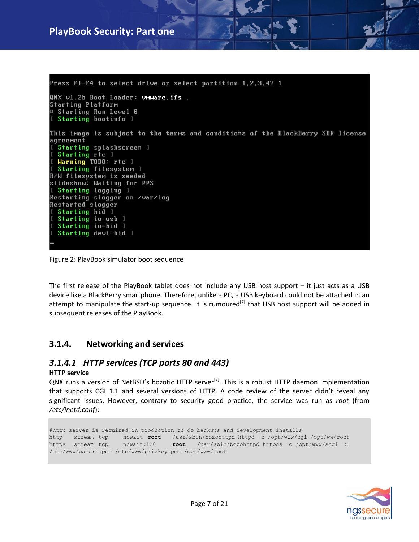## **PlayBook Security: Part one**

Press F1-F4 to select drive or select partition  $1, 2, 3, 4$ ? 1 QNX v1.2b Boot Loader: vmware.ifs . Starting Platform Starting Run Level 0 Starting bootinfo 1 This image is subject to the terms and conditions of the BlackBerry SDK license agreement Starting splashscreen 1 Starting rtc 1 Warning TODO: rtc 1 Starting filesystem 1 R/W filesystem is seeded slideshow: Waiting for PPS Starting logging 1 Restarting slogger on /var/log **Restarted slogger** Starting hid 1 Starting io-usb 1 Starting io-hid 1 Starting devi-hid 1

Figure 2: PlayBook simulator boot sequence

The first release of the PlayBook tablet does not include any USB host support – it just acts as a USB device like a BlackBerry smartphone. Therefore, unlike a PC, a USB keyboard could not be attached in an attempt to manipulate the start-up sequence. It is rumoured<sup>[7]</sup> that USB host support will be added in subsequent releases of the PlayBook.

#### <span id="page-6-0"></span>**3.1.4. Networking and services**

#### *3.1.4.1 HTTP services (TCP ports 80 and 443)*

#### **HTTP service**

QNX runs a version of NetBSD's bozotic HTTP server<sup>[8]</sup>. This is a robust HTTP daemon implementation that supports CGI 1.1 and several versions of HTTP. A code review of the server didn't reveal any significant issues. However, contrary to security good practice, the service was run as *root* (from */etc/inetd.conf*):

#http server is required in production to do backups and development installs http stream tcp nowait **root** /usr/sbin/bozohttpd httpd –c /opt/www/cgi /opt/ww/root https stream tcp nowait:120 **root** /usr/sbin/bozohttpd httpds –c /opt/www/scgi –Z /etc/www/cacert.pem /etc/www/privkey.pem /opt/www/root

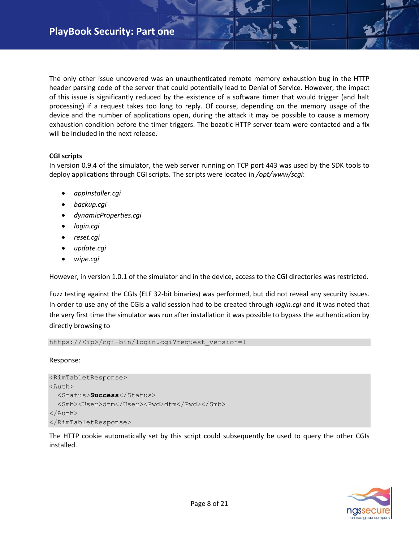The only other issue uncovered was an unauthenticated remote memory exhaustion bug in the HTTP header parsing code of the server that could potentially lead to Denial of Service. However, the impact of this issue is significantly reduced by the existence of a software timer that would trigger (and halt processing) if a request takes too long to reply. Of course, depending on the memory usage of the device and the number of applications open, during the attack it may be possible to cause a memory exhaustion condition before the timer triggers. The bozotic HTTP server team were contacted and a fix will be included in the next release.

#### **CGI scripts**

In version 0.9.4 of the simulator, the web server running on TCP port 443 was used by the SDK tools to deploy applications through CGI scripts. The scripts were located in */opt/www/scgi*:

- *appInstaller.cgi*
- *backup.cgi*
- *dynamicProperties.cgi*
- *login.cgi*
- *reset.cgi*
- *update.cgi*
- *wipe.cgi*

However, in version 1.0.1 of the simulator and in the device, access to the CGI directories was restricted.

Fuzz testing against the CGIs (ELF 32-bit binaries) was performed, but did not reveal any security issues. In order to use any of the CGIs a valid session had to be created through *login.cgi* and it was noted that the very first time the simulator was run after installation it was possible to bypass the authentication by directly browsing to

https://<ip>/cgi-bin/login.cgi?request\_version=1

#### Response:

```
<RimTabletResponse>
<Auth>
   <Status>Success</Status>
  <Smb><User>dtm</User><Pwd>dtm</Pwd></Smb>
</Auth>
</RimTabletResponse>
```
The HTTP cookie automatically set by this script could subsequently be used to query the other CGIs installed.

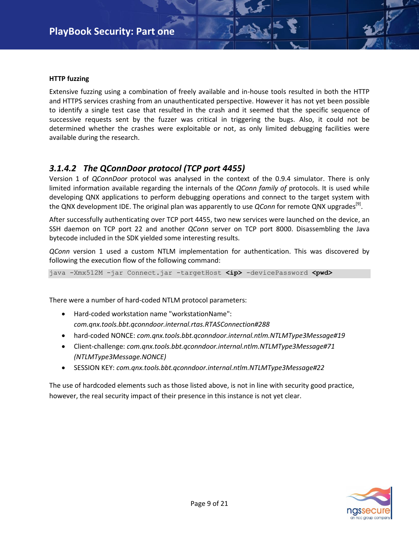#### **HTTP fuzzing**

Extensive fuzzing using a combination of freely available and in-house tools resulted in both the HTTP and HTTPS services crashing from an unauthenticated perspective. However it has not yet been possible to identify a single test case that resulted in the crash and it seemed that the specific sequence of successive requests sent by the fuzzer was critical in triggering the bugs. Also, it could not be determined whether the crashes were exploitable or not, as only limited debugging facilities were available during the research.

#### *3.1.4.2 The QConnDoor protocol (TCP port 4455)*

Version 1 of *QConnDoor* protocol was analysed in the context of the 0.9.4 simulator. There is only limited information available regarding the internals of the *QConn family of* protocols. It is used while developing QNX applications to perform debugging operations and connect to the target system with the QNX development IDE. The original plan was apparently to use *QConn* for remote QNX upgrades<sup>[9]</sup>.

After successfully authenticating over TCP port 4455, two new services were launched on the device, an SSH daemon on TCP port 22 and another *QConn* server on TCP port 8000. Disassembling the Java bytecode included in the SDK yielded some interesting results.

*QConn* version 1 used a custom NTLM implementation for authentication. This was discovered by following the execution flow of the following command:

java -Xmx512M -jar Connect.jar -targetHost **<ip>** -devicePassword **<pwd>**

There were a number of hard-coded NTLM protocol parameters:

- Hard-coded workstation name "workstationName": *com.qnx.tools.bbt.qconndoor.internal.rtas.RTASConnection#288*
- hard-coded NONCE: *com.qnx.tools.bbt.qconndoor.internal.ntlm.NTLMType3Message#19*
- Client-challenge: *com.qnx.tools.bbt.qconndoor.internal.ntlm.NTLMType3Message#71 (NTLMType3Message.NONCE)*
- SESSION KEY: *com.qnx.tools.bbt.qconndoor.internal.ntlm.NTLMType3Message#22*

The use of hardcoded elements such as those listed above, is not in line with security good practice, however, the real security impact of their presence in this instance is not yet clear.

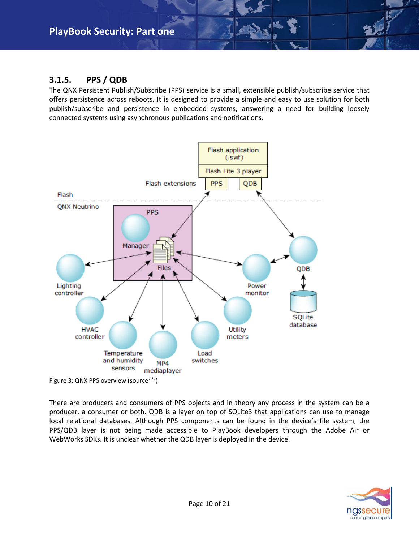## <span id="page-9-0"></span>**3.1.5. PPS / QDB**

The QNX Persistent Publish/Subscribe (PPS) service is a small, extensible publish/subscribe service that offers persistence across reboots. It is designed to provide a simple and easy to use solution for both publish/subscribe and persistence in embedded systems, answering a need for building loosely connected systems using asynchronous publications and notifications.



There are producers and consumers of PPS objects and in theory any process in the system can be a producer, a consumer or both. QDB is a layer on top of SQLite3 that applications can use to manage local relational databases. Although PPS components can be found in the device's file system, the PPS/QDB layer is not being made accessible to PlayBook developers through the Adobe Air or WebWorks SDKs. It is unclear whether the QDB layer is deployed in the device.

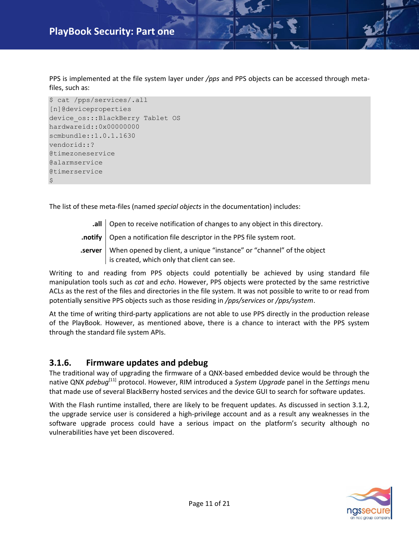PPS is implemented at the file system layer under */pps* and PPS objects can be accessed through metafiles, such as:

```
$ cat /pps/services/.all
[n]@deviceproperties
device_os:::BlackBerry Tablet OS
hardwareid::0x00000000
scmbundle::1.0.1.1630
vendorid::?
@timezoneservice
@alarmservice
@timerservice
\ddot{\varsigma}
```
The list of these meta-files (named *special objects* in the documentation) includes:

**all** | Open to receive notification of changes to any object in this directory. **.notify** Open a notification file descriptor in the PPS file system root. **.server** When opened by client, a unique "instance" or "channel" of the object is created, which only that client can see.

Writing to and reading from PPS objects could potentially be achieved by using standard file manipulation tools such as *cat* and *echo*. However, PPS objects were protected by the same restrictive ACLs as the rest of the files and directories in the file system. It was not possible to write to or read from potentially sensitive PPS objects such as those residing in */pps/services* or */pps/system*.

At the time of writing third-party applications are not able to use PPS directly in the production release of the PlayBook. However, as mentioned above, there is a chance to interact with the PPS system through the standard file system APIs.

#### <span id="page-10-0"></span>**3.1.6. Firmware updates and pdebug**

The traditional way of upgrading the firmware of a QNX-based embedded device would be through the native QNX *pdebug*[11] protocol. However, RIM introduced a *System Upgrade* panel in the *Settings* menu that made use of several BlackBerry hosted services and the device GUI to search for software updates.

With the Flash runtime installed, there are likely to be frequent updates. As discussed in section 3.1.2, the upgrade service user is considered a high-privilege account and as a result any weaknesses in the software upgrade process could have a serious impact on the platform's security although no vulnerabilities have yet been discovered.

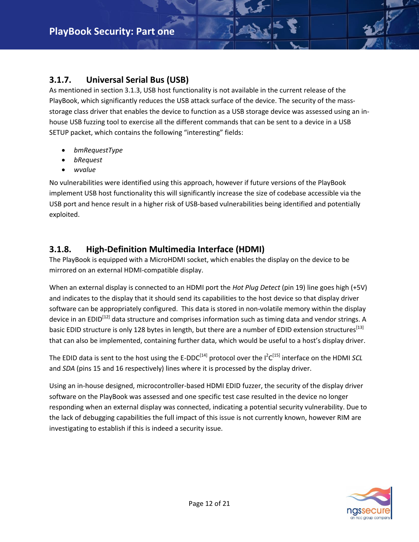## <span id="page-11-0"></span>**3.1.7. Universal Serial Bus (USB)**

As mentioned in section 3.1.3, USB host functionality is not available in the current release of the PlayBook, which significantly reduces the USB attack surface of the device. The security of the massstorage class driver that enables the device to function as a USB storage device was assessed using an inhouse USB fuzzing tool to exercise all the different commands that can be sent to a device in a USB SETUP packet, which contains the following "interesting" fields:

- *bmRequestType*
- *bRequest*
- *wvalue*

No vulnerabilities were identified using this approach, however if future versions of the PlayBook implement USB host functionality this will significantly increase the size of codebase accessible via the USB port and hence result in a higher risk of USB-based vulnerabilities being identified and potentially exploited.

### <span id="page-11-1"></span>**3.1.8. High-Definition Multimedia Interface (HDMI)**

The PlayBook is equipped with a MicroHDMI socket, which enables the display on the device to be mirrored on an external HDMI-compatible display.

When an external display is connected to an HDMI port the *Hot Plug Detect* (pin 19) line goes high (+5V) and indicates to the display that it should send its capabilities to the host device so that display driver software can be appropriately configured. This data is stored in non-volatile memory within the display device in an EDID<sup>[12]</sup> data structure and comprises information such as timing data and vendor strings. A basic EDID structure is only 128 bytes in length, but there are a number of EDID extension structures<sup>[13]</sup> that can also be implemented, containing further data, which would be useful to a host's display driver.

The EDID data is sent to the host using the E-DDC<sup>[14]</sup> protocol over the I<sup>2</sup>C<sup>[15]</sup> interface on the HDMI *SCL* and *SDA* (pins 15 and 16 respectively) lines where it is processed by the display driver.

Using an in-house designed, microcontroller-based HDMI EDID fuzzer, the security of the display driver software on the PlayBook was assessed and one specific test case resulted in the device no longer responding when an external display was connected, indicating a potential security vulnerability. Due to the lack of debugging capabilities the full impact of this issue is not currently known, however RIM are investigating to establish if this is indeed a security issue.

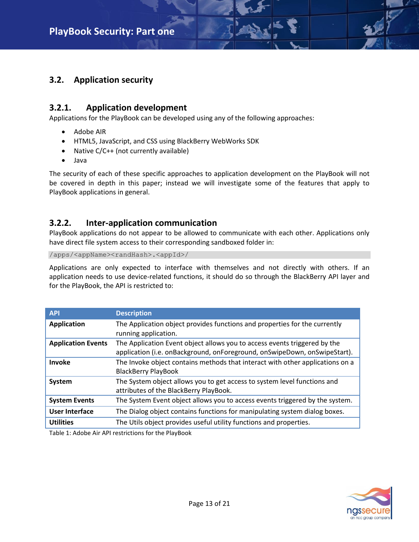#### <span id="page-12-0"></span>**3.2. Application security**

#### <span id="page-12-1"></span>**3.2.1. Application development**

Applications for the PlayBook can be developed using any of the following approaches:

- Adobe AIR
- HTML5, JavaScript, and CSS using BlackBerry WebWorks SDK
- Native C/C++ (not currently available)
- Java

The security of each of these specific approaches to application development on the PlayBook will not be covered in depth in this paper; instead we will investigate some of the features that apply to PlayBook applications in general.

#### <span id="page-12-2"></span>**3.2.2. Inter-application communication**

PlayBook applications do not appear to be allowed to communicate with each other. Applications only have direct file system access to their corresponding sandboxed folder in:

/apps/<appName><randHash>.<appId>/

Applications are only expected to interface with themselves and not directly with others. If an application needs to use device-related functions, it should do so through the BlackBerry API layer and for the PlayBook, the API is restricted to:

| <b>API</b>                | <b>Description</b>                                                                                                                                     |
|---------------------------|--------------------------------------------------------------------------------------------------------------------------------------------------------|
| <b>Application</b>        | The Application object provides functions and properties for the currently<br>running application.                                                     |
| <b>Application Events</b> | The Application Event object allows you to access events triggered by the<br>application (i.e. onBackground, onForeground, onSwipeDown, onSwipeStart). |
| Invoke                    | The Invoke object contains methods that interact with other applications on a<br><b>BlackBerry PlayBook</b>                                            |
| System                    | The System object allows you to get access to system level functions and<br>attributes of the BlackBerry PlayBook.                                     |
| <b>System Events</b>      | The System Event object allows you to access events triggered by the system.                                                                           |
| <b>User Interface</b>     | The Dialog object contains functions for manipulating system dialog boxes.                                                                             |
| <b>Utilities</b>          | The Utils object provides useful utility functions and properties.                                                                                     |

Table 1: Adobe Air API restrictions for the PlayBook

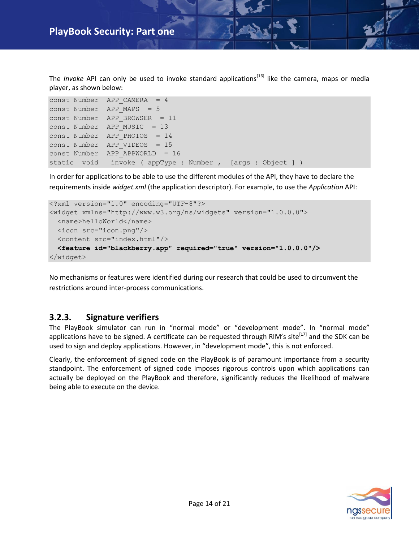The *Invoke* API can only be used to invoke standard applications<sup>[16]</sup> like the camera, maps or media player, as shown below:

```
const Number APP_CAMERA = 4 
const Number APP MAPS = 5
const Number APP BROWSER = 11
const Number APP MUSIC = 13
const Number APP PHOTOS = 14
const Number APP VIDEOS = 15
const Number APP APPWORLD = 16
static void invoke ( appType : Number , [args : Object ] )
```
In order for applications to be able to use the different modules of the API, they have to declare the requirements inside *widget.xml* (the application descriptor). For example, to use the *Application* API:

```
<?xml version="1.0" encoding="UTF-8"?>
<widget xmlns="http://www.w3.org/ns/widgets" version="1.0.0.0">
  <name>helloWorld</name>
  <icon src="icon.png"/>
  <content src="index.html"/>
  <feature id="blackberry.app" required="true" version="1.0.0.0"/>
</widget>
```
No mechanisms or features were identified during our research that could be used to circumvent the restrictions around inter-process communications.

#### <span id="page-13-0"></span>**3.2.3. Signature verifiers**

The PlayBook simulator can run in "normal mode" or "development mode". In "normal mode" applications have to be signed. A certificate can be requested through RIM's site<sup>[17]</sup> and the SDK can be used to sign and deploy applications. However, in "development mode", this is not enforced.

Clearly, the enforcement of signed code on the PlayBook is of paramount importance from a security standpoint. The enforcement of signed code imposes rigorous controls upon which applications can actually be deployed on the PlayBook and therefore, significantly reduces the likelihood of malware being able to execute on the device.

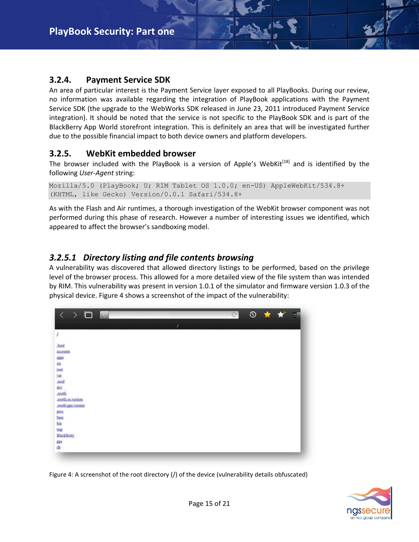#### <span id="page-14-0"></span>**3.2.4. Payment Service SDK**

An area of particular interest is the Payment Service layer exposed to all PlayBooks. During our review, no information was available regarding the integration of PlayBook applications with the Payment Service SDK (the upgrade to the WebWorks SDK released in June 23, 2011 introduced Payment Service integration). It should be noted that the service is not specific to the PlayBook SDK and is part of the BlackBerry App World storefront integration. This is definitely an area that will be investigated further due to the possible financial impact to both device owners and platform developers.

#### <span id="page-14-1"></span>**3.2.5. WebKit embedded browser**

The browser included with the PlayBook is a version of Apple's WebKit<sup>[18]</sup> and is identified by the following *User-Agent* string:

```
Mozilla/5.0 (PlayBook; U; RIM Tablet OS 1.0.0; en-US) AppleWebKit/534.8+ 
(KHTML, like Gecko) Version/0.0.1 Safari/534.8+
```
As with the Flash and Air runtimes, a thorough investigation of the WebKit browser component was not performed during this phase of research. However a number of interesting issues we identified, which appeared to affect the browser's sandboxing model.

#### *3.2.5.1 Directory listing and file contents browsing*

A vulnerability was discovered that allowed directory listings to be performed, based on the privilege level of the browser process. This allowed for a more detailed view of the file system than was intended by RIM. This vulnerability was present in version 1.0.1 of the simulator and firmware version 1.0.3 of the physical device. Figure 4 shows a screenshot of the impact of the vulnerability:



Figure 4: A screenshot of the root directory (/) of the device (vulnerability details obfuscated)

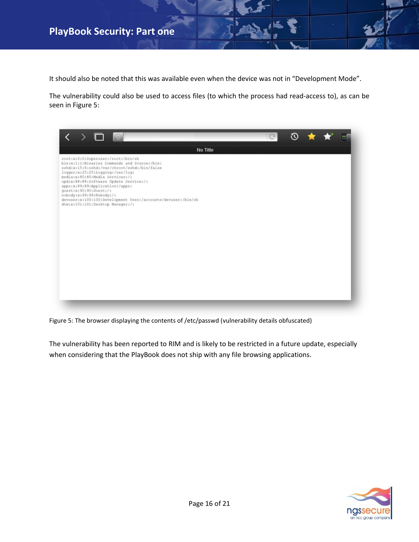## **PlayBook Security: Part one**

It should also be noted that this was available even when the device was not in "Development Mode".

The vulnerability could also be used to access files (to which the process had read-access to), as can be seen in Figure 5:

| $\begin{array}{c} \blacksquare & \blacksquare & \blacksquare \end{array}$<br>$\rightarrow$                                                                                                                                                                                                                                                                                                                                                       |          | $\circ$ | <b>① ★ ★</b> |  |
|--------------------------------------------------------------------------------------------------------------------------------------------------------------------------------------------------------------------------------------------------------------------------------------------------------------------------------------------------------------------------------------------------------------------------------------------------|----------|---------|--------------|--|
|                                                                                                                                                                                                                                                                                                                                                                                                                                                  | No Title |         |              |  |
| root:x:0:0:Superuser:/root:/bin/sh<br>bin:x:1:1:Binaries Commands and Source:/bin:<br>sshd:x:15:6:sshd:/var/chroot/sshd:/bin/false<br>logger:x:25:25:Logging:/var/log:<br>media:x:80:80:Media Services:/:<br>upd:x:88:88:Software Update Service:/:<br>apps:x:89:89:Application:/apps:<br>quest:x:90:90:Guest:/:<br>nobody:x:99:99:Nobody:/:<br>devuser:x:100:100:Development User:/accounts/devuser:/bin/sh<br>dtm:x:101:101:Desktop Manager:/: |          |         |              |  |

Figure 5: The browser displaying the contents of /etc/passwd (vulnerability details obfuscated)

The vulnerability has been reported to RIM and is likely to be restricted in a future update, especially when considering that the PlayBook does not ship with any file browsing applications.

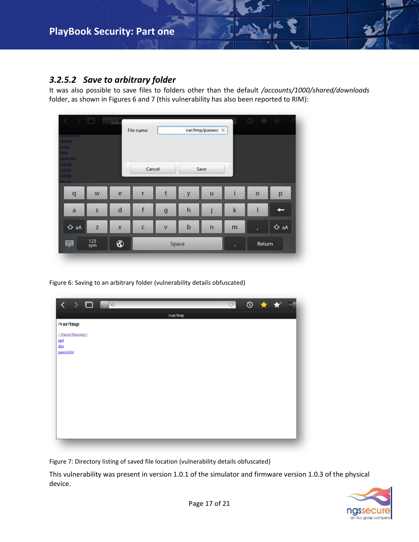#### *3.2.5.2 Save to arbitrary folder*

It was also possible to save files to folders other than the default */accounts/1000/shared/downloads* folder, as shown in Figures 6 and 7 (this vulnerability has also been reported to RIM):

| <b>CONTRACTOR</b><br><b>THINGHILL</b><br><b>BULLER</b>                                    |            |                         | File name  |             |              | var/tmp/passwc X |        |         |             |
|-------------------------------------------------------------------------------------------|------------|-------------------------|------------|-------------|--------------|------------------|--------|---------|-------------|
| <b>DISTRICT</b><br><b>Incident</b><br><b>MOTO</b><br><b>Talento</b><br>uf the<br>net cfu- |            |                         | Cancel     |             | Save         |                  |        |         |             |
| $\mathbf{q}$                                                                              | W          | e                       |            |             | y            | $\mathbf u$      |        | $\circ$ | p           |
| a                                                                                         | S          | d                       |            | $\mathbf g$ | $\mathsf{h}$ |                  | k      |         |             |
| <b>← aA</b>                                                                               | z          | $\overline{\mathsf{x}}$ | $\epsilon$ | V           | $\mathbf b$  | $\mathsf{n}$     | m      | ï       | $\Delta$ aA |
| 寧                                                                                         | 123<br>sym | ⊛                       | Space      |             |              | ۰                | Return |         |             |

Figure 6: Saving to an arbitrary folder (vulnerability details obfuscated)

| $\leftarrow$ $\rightarrow$ $\Box$ $\blacksquare$ |          | G ① ★ ★ □ |  |  |
|--------------------------------------------------|----------|-----------|--|--|
|                                                  | /var/tmp |           |  |  |
| /var/tmp                                         |          |           |  |  |
| ≤ Parent Directory≥                              |          |           |  |  |
| upd<br>dtm                                       |          |           |  |  |
| passwd.txt                                       |          |           |  |  |
|                                                  |          |           |  |  |
|                                                  |          |           |  |  |
|                                                  |          |           |  |  |
|                                                  |          |           |  |  |
|                                                  |          |           |  |  |
|                                                  |          |           |  |  |
|                                                  |          |           |  |  |
|                                                  |          |           |  |  |
|                                                  |          |           |  |  |

Figure 7: Directory listing of saved file location (vulnerability details obfuscated)

This vulnerability was present in version 1.0.1 of the simulator and firmware version 1.0.3 of the physical device.

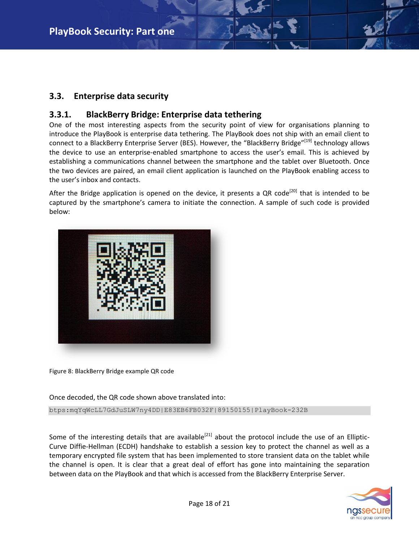#### <span id="page-17-0"></span>**3.3. Enterprise data security**

#### <span id="page-17-1"></span>**3.3.1. BlackBerry Bridge: Enterprise data tethering**

One of the most interesting aspects from the security point of view for organisations planning to introduce the PlayBook is enterprise data tethering. The PlayBook does not ship with an email client to connect to a BlackBerry Enterprise Server (BES). However, the "BlackBerry Bridge"<sup>[19]</sup> technology allows the device to use an enterprise-enabled smartphone to access the user's email. This is achieved by establishing a communications channel between the smartphone and the tablet over Bluetooth. Once the two devices are paired, an email client application is launched on the PlayBook enabling access to the user's inbox and contacts.

After the Bridge application is opened on the device, it presents a QR code<sup>[20]</sup> that is intended to be captured by the smartphone's camera to initiate the connection. A sample of such code is provided below:



Figure 8: BlackBerry Bridge example QR code

Once decoded, the QR code shown above translated into:

btps:mqYqWcLL7GdJuSLW7ny4DD|E83EB6FB032F|89150155|PlayBook-232B

Some of the interesting details that are available<sup>[21]</sup> about the protocol include the use of an Elliptic-Curve Diffie-Hellman (ECDH) handshake to establish a session key to protect the channel as well as a temporary encrypted file system that has been implemented to store transient data on the tablet while the channel is open. It is clear that a great deal of effort has gone into maintaining the separation between data on the PlayBook and that which is accessed from the BlackBerry Enterprise Server.

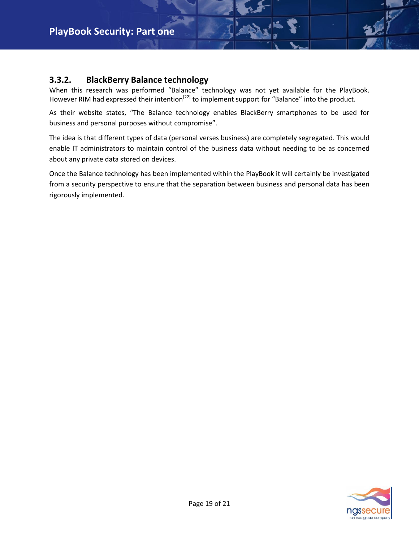#### <span id="page-18-0"></span>**3.3.2. BlackBerry Balance technology**

When this research was performed "Balance" technology was not yet available for the PlayBook. However RIM had expressed their intention<sup>[22]</sup> to implement support for "Balance" into the product.

As their website states, "The Balance technology enables BlackBerry smartphones to be used for business and personal purposes without compromise".

The idea is that different types of data (personal verses business) are completely segregated. This would enable IT administrators to maintain control of the business data without needing to be as concerned about any private data stored on devices.

Once the Balance technology has been implemented within the PlayBook it will certainly be investigated from a security perspective to ensure that the separation between business and personal data has been rigorously implemented.

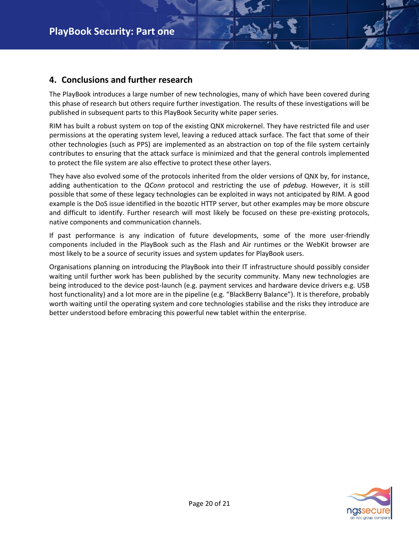#### <span id="page-19-0"></span>**4. Conclusions and further research**

The PlayBook introduces a large number of new technologies, many of which have been covered during this phase of research but others require further investigation. The results of these investigations will be published in subsequent parts to this PlayBook Security white paper series.

RIM has built a robust system on top of the existing QNX microkernel. They have restricted file and user permissions at the operating system level, leaving a reduced attack surface. The fact that some of their other technologies (such as PPS) are implemented as an abstraction on top of the file system certainly contributes to ensuring that the attack surface is minimized and that the general controls implemented to protect the file system are also effective to protect these other layers.

They have also evolved some of the protocols inherited from the older versions of QNX by, for instance, adding authentication to the *QConn* protocol and restricting the use of *pdebug*. However, it is still possible that some of these legacy technologies can be exploited in ways not anticipated by RIM. A good example is the DoS issue identified in the bozotic HTTP server, but other examples may be more obscure and difficult to identify. Further research will most likely be focused on these pre-existing protocols, native components and communication channels.

If past performance is any indication of future developments, some of the more user-friendly components included in the PlayBook such as the Flash and Air runtimes or the WebKit browser are most likely to be a source of security issues and system updates for PlayBook users.

Organisations planning on introducing the PlayBook into their IT infrastructure should possibly consider waiting until further work has been published by the security community. Many new technologies are being introduced to the device post-launch (e.g. payment services and hardware device drivers e.g. USB host functionality) and a lot more are in the pipeline (e.g. "BlackBerry Balance"). It is therefore, probably worth waiting until the operating system and core technologies stabilise and the risks they introduce are better understood before embracing this powerful new tablet within the enterprise.